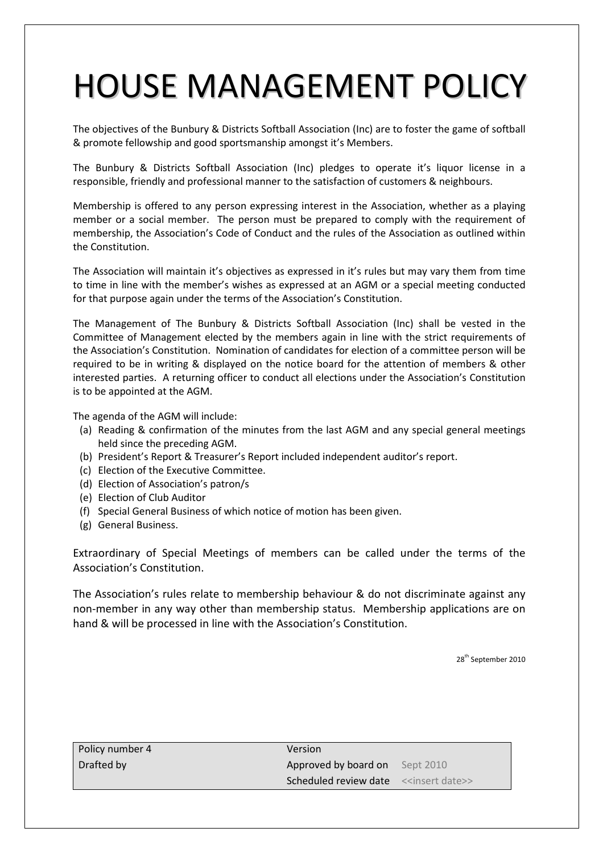## HOUSE MANAGEMENT POLICY

The objectives of the Bunbury & Districts Softball Association (Inc) are to foster the game of softball & promote fellowship and good sportsmanship amongst it's Members.

The Bunbury & Districts Softball Association (Inc) pledges to operate it's liquor license in a responsible, friendly and professional manner to the satisfaction of customers & neighbours.

Membership is offered to any person expressing interest in the Association, whether as a playing member or a social member. The person must be prepared to comply with the requirement of membership, the Association's Code of Conduct and the rules of the Association as outlined within the Constitution.

The Association will maintain it's objectives as expressed in it's rules but may vary them from time to time in line with the member's wishes as expressed at an AGM or a special meeting conducted for that purpose again under the terms of the Association's Constitution.

The Management of The Bunbury & Districts Softball Association (Inc) shall be vested in the Committee of Management elected by the members again in line with the strict requirements of the Association's Constitution. Nomination of candidates for election of a committee person will be required to be in writing & displayed on the notice board for the attention of members & other interested parties. A returning officer to conduct all elections under the Association's Constitution is to be appointed at the AGM.

The agenda of the AGM will include:

- (a) Reading & confirmation of the minutes from the last AGM and any special general meetings held since the preceding AGM.
- (b) President's Report & Treasurer's Report included independent auditor's report.
- (c) Election of the Executive Committee.
- (d) Election of Association's patron/s
- (e) Election of Club Auditor
- (f) Special General Business of which notice of motion has been given.
- (g) General Business.

Extraordinary of Special Meetings of members can be called under the terms of the Association's Constitution.

The Association's rules relate to membership behaviour & do not discriminate against any non-member in any way other than membership status. Membership applications are on hand & will be processed in line with the Association's Constitution.

| Policy number 4 | Version                                                      |  |
|-----------------|--------------------------------------------------------------|--|
| Drafted by      | Approved by board on Sept 2010                               |  |
|                 | <b>Scheduled review date</b> < <insert date="">&gt;</insert> |  |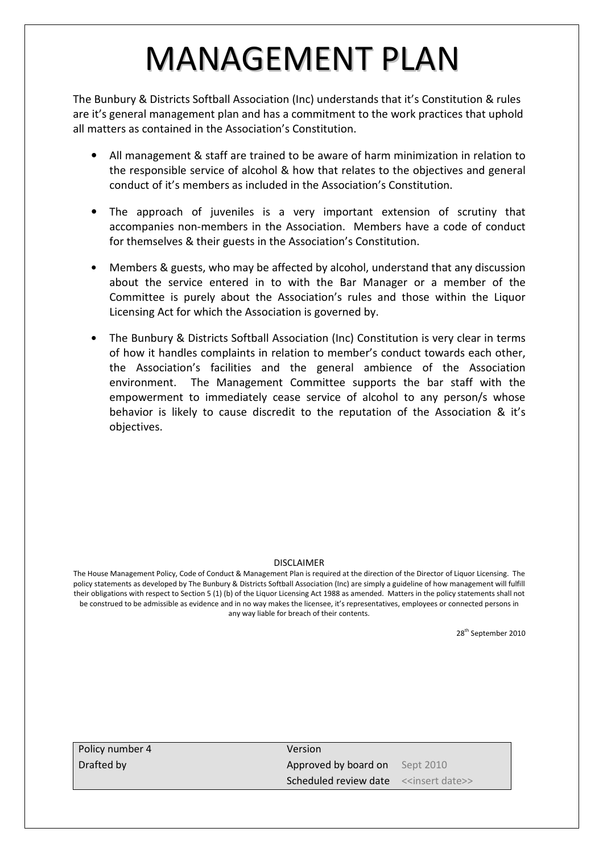## MANAGEMENT PLAN

The Bunbury & Districts Softball Association (Inc) understands that it's Constitution & rules are it's general management plan and has a commitment to the work practices that uphold all matters as contained in the Association's Constitution.

- All management & staff are trained to be aware of harm minimization in relation to the responsible service of alcohol & how that relates to the objectives and general conduct of it's members as included in the Association's Constitution.
- The approach of juveniles is a very important extension of scrutiny that accompanies non-members in the Association. Members have a code of conduct for themselves & their guests in the Association's Constitution.
- Members & guests, who may be affected by alcohol, understand that any discussion about the service entered in to with the Bar Manager or a member of the Committee is purely about the Association's rules and those within the Liquor Licensing Act for which the Association is governed by.
- The Bunbury & Districts Softball Association (Inc) Constitution is very clear in terms of how it handles complaints in relation to member's conduct towards each other, the Association's facilities and the general ambience of the Association environment. The Management Committee supports the bar staff with the empowerment to immediately cease service of alcohol to any person/s whose behavior is likely to cause discredit to the reputation of the Association & it's objectives.

#### DISCLAIMER

The House Management Policy, Code of Conduct & Management Plan is required at the direction of the Director of Liquor Licensing. The policy statements as developed by The Bunbury & Districts Softball Association (Inc) are simply a guideline of how management will fulfill their obligations with respect to Section 5 (1) (b) of the Liquor Licensing Act 1988 as amended. Matters in the policy statements shall not be construed to be admissible as evidence and in no way makes the licensee, it's representatives, employees or connected persons in any way liable for breach of their contents.

| Policy number 4 | Version                                               |  |
|-----------------|-------------------------------------------------------|--|
| Drafted by      | Approved by board on Sept 2010                        |  |
|                 | Scheduled review date < <insert date="">&gt;</insert> |  |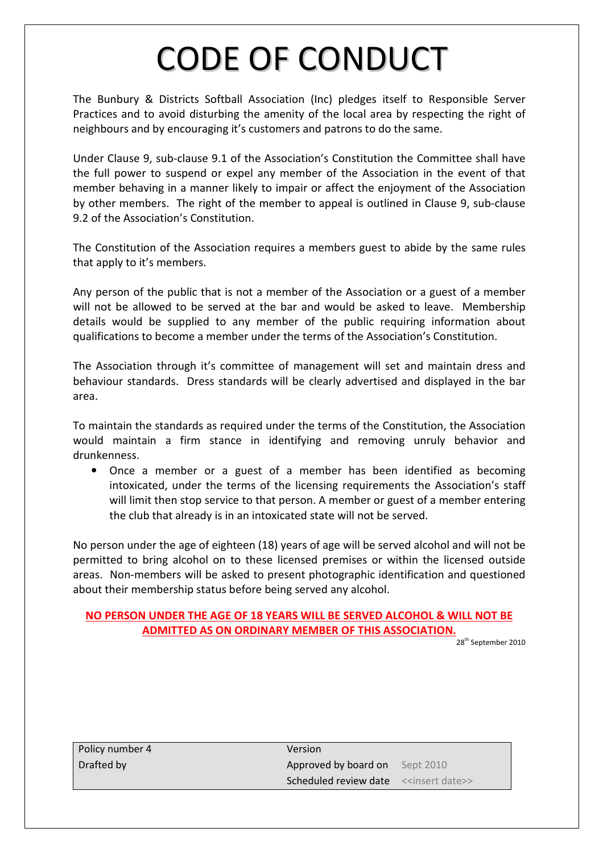### CODE OF CONDUCT

The Bunbury & Districts Softball Association (Inc) pledges itself to Responsible Server Practices and to avoid disturbing the amenity of the local area by respecting the right of neighbours and by encouraging it's customers and patrons to do the same.

Under Clause 9, sub-clause 9.1 of the Association's Constitution the Committee shall have the full power to suspend or expel any member of the Association in the event of that member behaving in a manner likely to impair or affect the enjoyment of the Association by other members. The right of the member to appeal is outlined in Clause 9, sub-clause 9.2 of the Association's Constitution.

The Constitution of the Association requires a members guest to abide by the same rules that apply to it's members.

Any person of the public that is not a member of the Association or a guest of a member will not be allowed to be served at the bar and would be asked to leave. Membership details would be supplied to any member of the public requiring information about qualifications to become a member under the terms of the Association's Constitution.

The Association through it's committee of management will set and maintain dress and behaviour standards. Dress standards will be clearly advertised and displayed in the bar area.

To maintain the standards as required under the terms of the Constitution, the Association would maintain a firm stance in identifying and removing unruly behavior and drunkenness.

• Once a member or a guest of a member has been identified as becoming intoxicated, under the terms of the licensing requirements the Association's staff will limit then stop service to that person. A member or guest of a member entering the club that already is in an intoxicated state will not be served.

No person under the age of eighteen (18) years of age will be served alcohol and will not be permitted to bring alcohol on to these licensed premises or within the licensed outside areas. Non-members will be asked to present photographic identification and questioned about their membership status before being served any alcohol.

#### NO PERSON UNDER THE AGE OF 18 YEARS WILL BE SERVED ALCOHOL & WILL NOT BE ADMITTED AS ON ORDINARY MEMBER OF THIS ASSOCIATION.

| Policy number 4 | Version                                                      |  |
|-----------------|--------------------------------------------------------------|--|
| Drafted by      | Approved by board on Sept 2010                               |  |
|                 | <b>Scheduled review date</b> < <insert date="">&gt;</insert> |  |